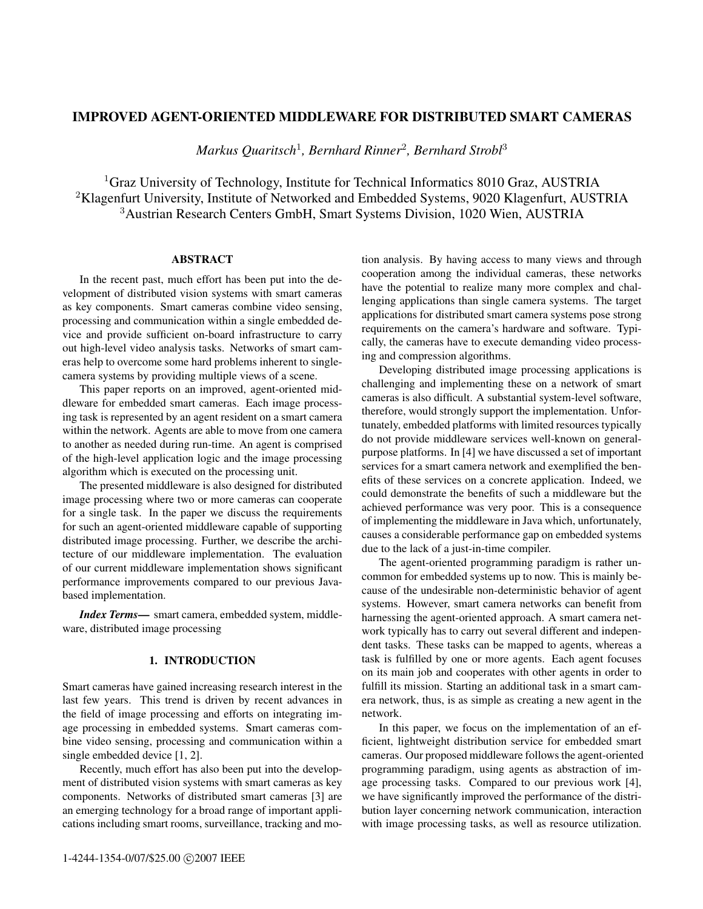# IMPROVED AGENT-ORIENTED MIDDLEWARE FOR DISTRIBUTED SMART CAMERAS

*Markus Quaritsch*<sup>1</sup> *, Bernhard Rinner*<sup>2</sup> *, Bernhard Strobl*<sup>3</sup>

<sup>1</sup>Graz University of Technology, Institute for Technical Informatics 8010 Graz, AUSTRIA <sup>2</sup>Klagenfurt University, Institute of Networked and Embedded Systems, 9020 Klagenfurt, AUSTRIA <sup>3</sup>Austrian Research Centers GmbH, Smart Systems Division, 1020 Wien, AUSTRIA

# ABSTRACT

In the recent past, much effort has been put into the development of distributed vision systems with smart cameras as key components. Smart cameras combine video sensing, processing and communication within a single embedded device and provide sufficient on-board infrastructure to carry out high-level video analysis tasks. Networks of smart cameras help to overcome some hard problems inherent to singlecamera systems by providing multiple views of a scene.

This paper reports on an improved, agent-oriented middleware for embedded smart cameras. Each image processing task is represented by an agent resident on a smart camera within the network. Agents are able to move from one camera to another as needed during run-time. An agent is comprised of the high-level application logic and the image processing algorithm which is executed on the processing unit.

The presented middleware is also designed for distributed image processing where two or more cameras can cooperate for a single task. In the paper we discuss the requirements for such an agent-oriented middleware capable of supporting distributed image processing. Further, we describe the architecture of our middleware implementation. The evaluation of our current middleware implementation shows significant performance improvements compared to our previous Javabased implementation.

*Index Terms*— smart camera, embedded system, middleware, distributed image processing

### 1. INTRODUCTION

Smart cameras have gained increasing research interest in the last few years. This trend is driven by recent advances in the field of image processing and efforts on integrating image processing in embedded systems. Smart cameras combine video sensing, processing and communication within a single embedded device [1, 2].

Recently, much effort has also been put into the development of distributed vision systems with smart cameras as key components. Networks of distributed smart cameras [3] are an emerging technology for a broad range of important applications including smart rooms, surveillance, tracking and motion analysis. By having access to many views and through cooperation among the individual cameras, these networks have the potential to realize many more complex and challenging applications than single camera systems. The target applications for distributed smart camera systems pose strong requirements on the camera's hardware and software. Typically, the cameras have to execute demanding video processing and compression algorithms.

Developing distributed image processing applications is challenging and implementing these on a network of smart cameras is also difficult. A substantial system-level software, therefore, would strongly support the implementation. Unfortunately, embedded platforms with limited resources typically do not provide middleware services well-known on generalpurpose platforms. In [4] we have discussed a set of important services for a smart camera network and exemplified the benefits of these services on a concrete application. Indeed, we could demonstrate the benefits of such a middleware but the achieved performance was very poor. This is a consequence of implementing the middleware in Java which, unfortunately, causes a considerable performance gap on embedded systems due to the lack of a just-in-time compiler.

The agent-oriented programming paradigm is rather uncommon for embedded systems up to now. This is mainly because of the undesirable non-deterministic behavior of agent systems. However, smart camera networks can benefit from harnessing the agent-oriented approach. A smart camera network typically has to carry out several different and independent tasks. These tasks can be mapped to agents, whereas a task is fulfilled by one or more agents. Each agent focuses on its main job and cooperates with other agents in order to fulfill its mission. Starting an additional task in a smart camera network, thus, is as simple as creating a new agent in the network.

In this paper, we focus on the implementation of an efficient, lightweight distribution service for embedded smart cameras. Our proposed middleware follows the agent-oriented programming paradigm, using agents as abstraction of image processing tasks. Compared to our previous work [4], we have significantly improved the performance of the distribution layer concerning network communication, interaction with image processing tasks, as well as resource utilization.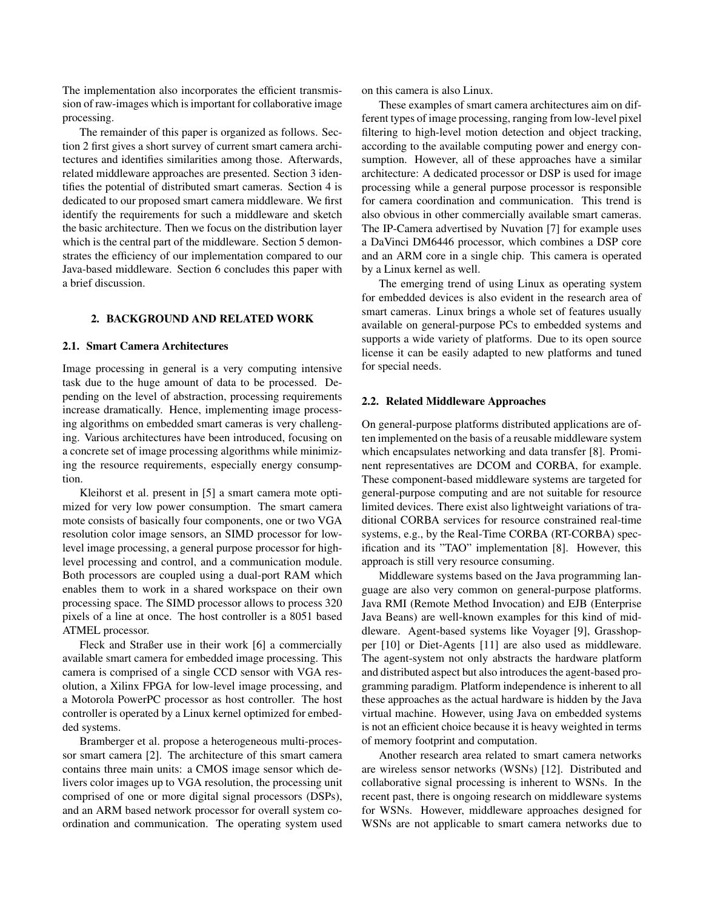The implementation also incorporates the efficient transmission of raw-images which is important for collaborative image processing.

The remainder of this paper is organized as follows. Section 2 first gives a short survey of current smart camera architectures and identifies similarities among those. Afterwards, related middleware approaches are presented. Section 3 identifies the potential of distributed smart cameras. Section 4 is dedicated to our proposed smart camera middleware. We first identify the requirements for such a middleware and sketch the basic architecture. Then we focus on the distribution layer which is the central part of the middleware. Section 5 demonstrates the efficiency of our implementation compared to our Java-based middleware. Section 6 concludes this paper with a brief discussion.

## 2. BACKGROUND AND RELATED WORK

### 2.1. Smart Camera Architectures

Image processing in general is a very computing intensive task due to the huge amount of data to be processed. Depending on the level of abstraction, processing requirements increase dramatically. Hence, implementing image processing algorithms on embedded smart cameras is very challenging. Various architectures have been introduced, focusing on a concrete set of image processing algorithms while minimizing the resource requirements, especially energy consumption.

Kleihorst et al. present in [5] a smart camera mote optimized for very low power consumption. The smart camera mote consists of basically four components, one or two VGA resolution color image sensors, an SIMD processor for lowlevel image processing, a general purpose processor for highlevel processing and control, and a communication module. Both processors are coupled using a dual-port RAM which enables them to work in a shared workspace on their own processing space. The SIMD processor allows to process 320 pixels of a line at once. The host controller is a 8051 based ATMEL processor.

Fleck and Straßer use in their work [6] a commercially available smart camera for embedded image processing. This camera is comprised of a single CCD sensor with VGA resolution, a Xilinx FPGA for low-level image processing, and a Motorola PowerPC processor as host controller. The host controller is operated by a Linux kernel optimized for embedded systems.

Bramberger et al. propose a heterogeneous multi-processor smart camera [2]. The architecture of this smart camera contains three main units: a CMOS image sensor which delivers color images up to VGA resolution, the processing unit comprised of one or more digital signal processors (DSPs), and an ARM based network processor for overall system coordination and communication. The operating system used

on this camera is also Linux.

These examples of smart camera architectures aim on different types of image processing, ranging from low-level pixel filtering to high-level motion detection and object tracking, according to the available computing power and energy consumption. However, all of these approaches have a similar architecture: A dedicated processor or DSP is used for image processing while a general purpose processor is responsible for camera coordination and communication. This trend is also obvious in other commercially available smart cameras. The IP-Camera advertised by Nuvation [7] for example uses a DaVinci DM6446 processor, which combines a DSP core and an ARM core in a single chip. This camera is operated by a Linux kernel as well.

The emerging trend of using Linux as operating system for embedded devices is also evident in the research area of smart cameras. Linux brings a whole set of features usually available on general-purpose PCs to embedded systems and supports a wide variety of platforms. Due to its open source license it can be easily adapted to new platforms and tuned for special needs.

#### 2.2. Related Middleware Approaches

On general-purpose platforms distributed applications are often implemented on the basis of a reusable middleware system which encapsulates networking and data transfer [8]. Prominent representatives are DCOM and CORBA, for example. These component-based middleware systems are targeted for general-purpose computing and are not suitable for resource limited devices. There exist also lightweight variations of traditional CORBA services for resource constrained real-time systems, e.g., by the Real-Time CORBA (RT-CORBA) specification and its "TAO" implementation [8]. However, this approach is still very resource consuming.

Middleware systems based on the Java programming language are also very common on general-purpose platforms. Java RMI (Remote Method Invocation) and EJB (Enterprise Java Beans) are well-known examples for this kind of middleware. Agent-based systems like Voyager [9], Grasshopper [10] or Diet-Agents [11] are also used as middleware. The agent-system not only abstracts the hardware platform and distributed aspect but also introduces the agent-based programming paradigm. Platform independence is inherent to all these approaches as the actual hardware is hidden by the Java virtual machine. However, using Java on embedded systems is not an efficient choice because it is heavy weighted in terms of memory footprint and computation.

Another research area related to smart camera networks are wireless sensor networks (WSNs) [12]. Distributed and collaborative signal processing is inherent to WSNs. In the recent past, there is ongoing research on middleware systems for WSNs. However, middleware approaches designed for WSNs are not applicable to smart camera networks due to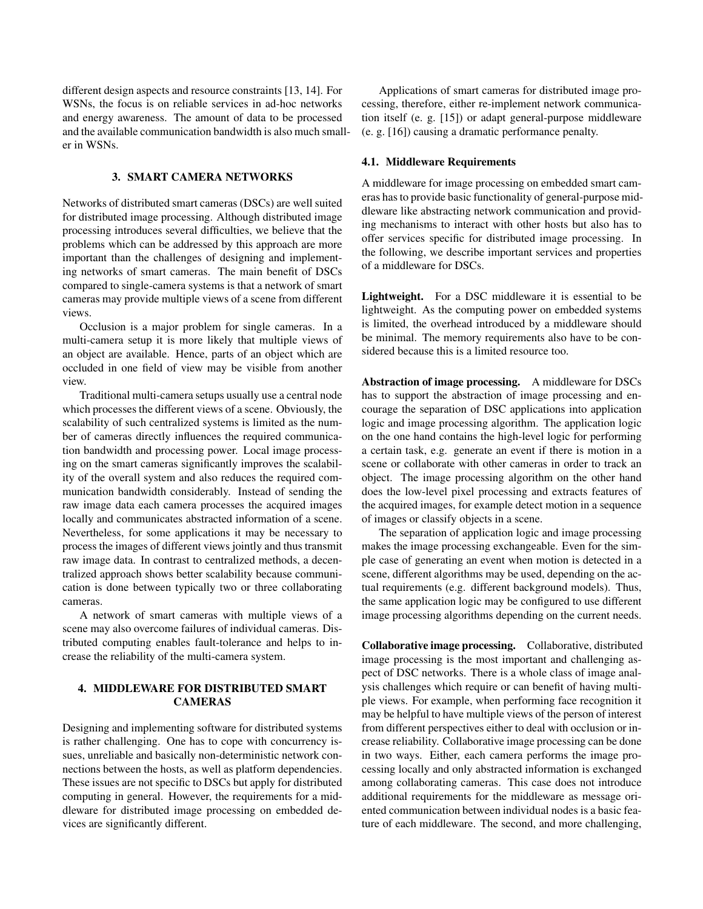different design aspects and resource constraints [13, 14]. For WSNs, the focus is on reliable services in ad-hoc networks and energy awareness. The amount of data to be processed and the available communication bandwidth is also much smaller in WSNs.

## 3. SMART CAMERA NETWORKS

Networks of distributed smart cameras (DSCs) are well suited for distributed image processing. Although distributed image processing introduces several difficulties, we believe that the problems which can be addressed by this approach are more important than the challenges of designing and implementing networks of smart cameras. The main benefit of DSCs compared to single-camera systems is that a network of smart cameras may provide multiple views of a scene from different views.

Occlusion is a major problem for single cameras. In a multi-camera setup it is more likely that multiple views of an object are available. Hence, parts of an object which are occluded in one field of view may be visible from another view.

Traditional multi-camera setups usually use a central node which processes the different views of a scene. Obviously, the scalability of such centralized systems is limited as the number of cameras directly influences the required communication bandwidth and processing power. Local image processing on the smart cameras significantly improves the scalability of the overall system and also reduces the required communication bandwidth considerably. Instead of sending the raw image data each camera processes the acquired images locally and communicates abstracted information of a scene. Nevertheless, for some applications it may be necessary to process the images of different views jointly and thus transmit raw image data. In contrast to centralized methods, a decentralized approach shows better scalability because communication is done between typically two or three collaborating cameras.

A network of smart cameras with multiple views of a scene may also overcome failures of individual cameras. Distributed computing enables fault-tolerance and helps to increase the reliability of the multi-camera system.

## 4. MIDDLEWARE FOR DISTRIBUTED SMART CAMERAS

Designing and implementing software for distributed systems is rather challenging. One has to cope with concurrency issues, unreliable and basically non-deterministic network connections between the hosts, as well as platform dependencies. These issues are not specific to DSCs but apply for distributed computing in general. However, the requirements for a middleware for distributed image processing on embedded devices are significantly different.

Applications of smart cameras for distributed image processing, therefore, either re-implement network communication itself (e. g. [15]) or adapt general-purpose middleware (e. g. [16]) causing a dramatic performance penalty.

### 4.1. Middleware Requirements

A middleware for image processing on embedded smart cameras has to provide basic functionality of general-purpose middleware like abstracting network communication and providing mechanisms to interact with other hosts but also has to offer services specific for distributed image processing. In the following, we describe important services and properties of a middleware for DSCs.

Lightweight. For a DSC middleware it is essential to be lightweight. As the computing power on embedded systems is limited, the overhead introduced by a middleware should be minimal. The memory requirements also have to be considered because this is a limited resource too.

Abstraction of image processing. A middleware for DSCs has to support the abstraction of image processing and encourage the separation of DSC applications into application logic and image processing algorithm. The application logic on the one hand contains the high-level logic for performing a certain task, e.g. generate an event if there is motion in a scene or collaborate with other cameras in order to track an object. The image processing algorithm on the other hand does the low-level pixel processing and extracts features of the acquired images, for example detect motion in a sequence of images or classify objects in a scene.

The separation of application logic and image processing makes the image processing exchangeable. Even for the simple case of generating an event when motion is detected in a scene, different algorithms may be used, depending on the actual requirements (e.g. different background models). Thus, the same application logic may be configured to use different image processing algorithms depending on the current needs.

Collaborative image processing. Collaborative, distributed image processing is the most important and challenging aspect of DSC networks. There is a whole class of image analysis challenges which require or can benefit of having multiple views. For example, when performing face recognition it may be helpful to have multiple views of the person of interest from different perspectives either to deal with occlusion or increase reliability. Collaborative image processing can be done in two ways. Either, each camera performs the image processing locally and only abstracted information is exchanged among collaborating cameras. This case does not introduce additional requirements for the middleware as message oriented communication between individual nodes is a basic feature of each middleware. The second, and more challenging,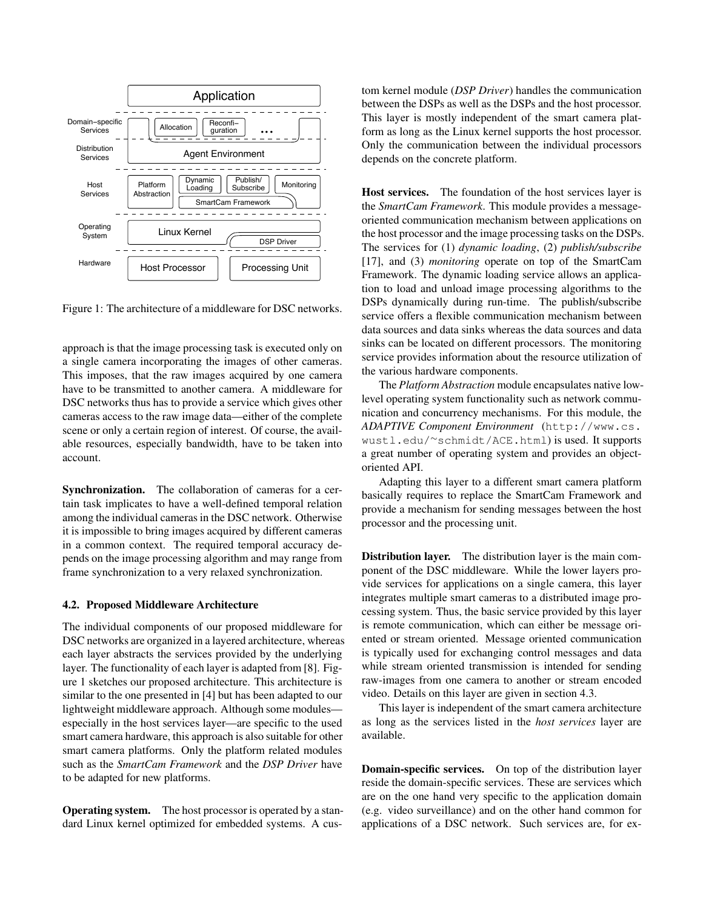

Figure 1: The architecture of a middleware for DSC networks.

approach is that the image processing task is executed only on a single camera incorporating the images of other cameras. This imposes, that the raw images acquired by one camera have to be transmitted to another camera. A middleware for DSC networks thus has to provide a service which gives other cameras access to the raw image data—either of the complete scene or only a certain region of interest. Of course, the available resources, especially bandwidth, have to be taken into account.

Synchronization. The collaboration of cameras for a certain task implicates to have a well-defined temporal relation among the individual cameras in the DSC network. Otherwise it is impossible to bring images acquired by different cameras in a common context. The required temporal accuracy depends on the image processing algorithm and may range from frame synchronization to a very relaxed synchronization.

### 4.2. Proposed Middleware Architecture

The individual components of our proposed middleware for DSC networks are organized in a layered architecture, whereas each layer abstracts the services provided by the underlying layer. The functionality of each layer is adapted from [8]. Figure 1 sketches our proposed architecture. This architecture is similar to the one presented in [4] but has been adapted to our lightweight middleware approach. Although some modules especially in the host services layer—are specific to the used smart camera hardware, this approach is also suitable for other smart camera platforms. Only the platform related modules such as the *SmartCam Framework* and the *DSP Driver* have to be adapted for new platforms.

Operating system. The host processor is operated by a standard Linux kernel optimized for embedded systems. A custom kernel module (*DSP Driver*) handles the communication between the DSPs as well as the DSPs and the host processor. This layer is mostly independent of the smart camera platform as long as the Linux kernel supports the host processor. Only the communication between the individual processors depends on the concrete platform.

Host services. The foundation of the host services layer is the *SmartCam Framework*. This module provides a messageoriented communication mechanism between applications on the host processor and the image processing tasks on the DSPs. The services for (1) *dynamic loading*, (2) *publish/subscribe* [17], and (3) *monitoring* operate on top of the SmartCam Framework. The dynamic loading service allows an application to load and unload image processing algorithms to the DSPs dynamically during run-time. The publish/subscribe service offers a flexible communication mechanism between data sources and data sinks whereas the data sources and data sinks can be located on different processors. The monitoring service provides information about the resource utilization of the various hardware components.

The *Platform Abstraction* module encapsulates native lowlevel operating system functionality such as network communication and concurrency mechanisms. For this module, the *ADAPTIVE Component Environment* (http://www.cs. wustl.edu/<sup>∼</sup>schmidt/ACE.html) is used. It supports a great number of operating system and provides an objectoriented API.

Adapting this layer to a different smart camera platform basically requires to replace the SmartCam Framework and provide a mechanism for sending messages between the host processor and the processing unit.

Distribution layer. The distribution layer is the main component of the DSC middleware. While the lower layers provide services for applications on a single camera, this layer integrates multiple smart cameras to a distributed image processing system. Thus, the basic service provided by this layer is remote communication, which can either be message oriented or stream oriented. Message oriented communication is typically used for exchanging control messages and data while stream oriented transmission is intended for sending raw-images from one camera to another or stream encoded video. Details on this layer are given in section 4.3.

This layer is independent of the smart camera architecture as long as the services listed in the *host services* layer are available.

Domain-specific services. On top of the distribution layer reside the domain-specific services. These are services which are on the one hand very specific to the application domain (e.g. video surveillance) and on the other hand common for applications of a DSC network. Such services are, for ex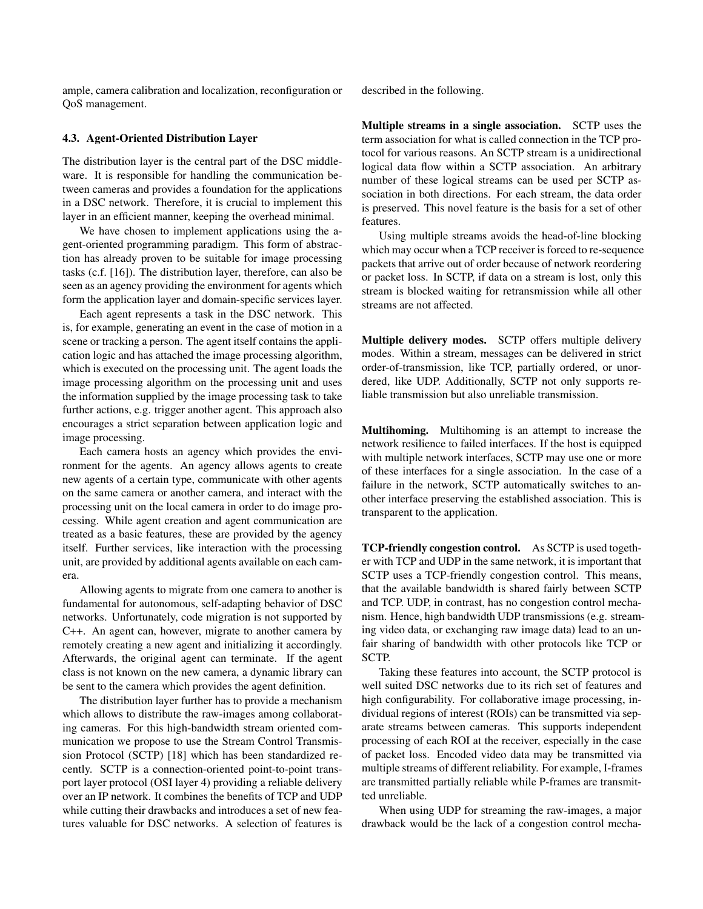ample, camera calibration and localization, reconfiguration or QoS management.

#### 4.3. Agent-Oriented Distribution Layer

The distribution layer is the central part of the DSC middleware. It is responsible for handling the communication between cameras and provides a foundation for the applications in a DSC network. Therefore, it is crucial to implement this layer in an efficient manner, keeping the overhead minimal.

We have chosen to implement applications using the agent-oriented programming paradigm. This form of abstraction has already proven to be suitable for image processing tasks (c.f. [16]). The distribution layer, therefore, can also be seen as an agency providing the environment for agents which form the application layer and domain-specific services layer.

Each agent represents a task in the DSC network. This is, for example, generating an event in the case of motion in a scene or tracking a person. The agent itself contains the application logic and has attached the image processing algorithm, which is executed on the processing unit. The agent loads the image processing algorithm on the processing unit and uses the information supplied by the image processing task to take further actions, e.g. trigger another agent. This approach also encourages a strict separation between application logic and image processing.

Each camera hosts an agency which provides the environment for the agents. An agency allows agents to create new agents of a certain type, communicate with other agents on the same camera or another camera, and interact with the processing unit on the local camera in order to do image processing. While agent creation and agent communication are treated as a basic features, these are provided by the agency itself. Further services, like interaction with the processing unit, are provided by additional agents available on each camera.

Allowing agents to migrate from one camera to another is fundamental for autonomous, self-adapting behavior of DSC networks. Unfortunately, code migration is not supported by C++. An agent can, however, migrate to another camera by remotely creating a new agent and initializing it accordingly. Afterwards, the original agent can terminate. If the agent class is not known on the new camera, a dynamic library can be sent to the camera which provides the agent definition.

The distribution layer further has to provide a mechanism which allows to distribute the raw-images among collaborating cameras. For this high-bandwidth stream oriented communication we propose to use the Stream Control Transmission Protocol (SCTP) [18] which has been standardized recently. SCTP is a connection-oriented point-to-point transport layer protocol (OSI layer 4) providing a reliable delivery over an IP network. It combines the benefits of TCP and UDP while cutting their drawbacks and introduces a set of new features valuable for DSC networks. A selection of features is described in the following.

Multiple streams in a single association. SCTP uses the term association for what is called connection in the TCP protocol for various reasons. An SCTP stream is a unidirectional logical data flow within a SCTP association. An arbitrary number of these logical streams can be used per SCTP association in both directions. For each stream, the data order is preserved. This novel feature is the basis for a set of other features.

Using multiple streams avoids the head-of-line blocking which may occur when a TCP receiver is forced to re-sequence packets that arrive out of order because of network reordering or packet loss. In SCTP, if data on a stream is lost, only this stream is blocked waiting for retransmission while all other streams are not affected.

Multiple delivery modes. SCTP offers multiple delivery modes. Within a stream, messages can be delivered in strict order-of-transmission, like TCP, partially ordered, or unordered, like UDP. Additionally, SCTP not only supports reliable transmission but also unreliable transmission.

Multihoming. Multihoming is an attempt to increase the network resilience to failed interfaces. If the host is equipped with multiple network interfaces, SCTP may use one or more of these interfaces for a single association. In the case of a failure in the network, SCTP automatically switches to another interface preserving the established association. This is transparent to the application.

TCP-friendly congestion control. As SCTP is used together with TCP and UDP in the same network, it is important that SCTP uses a TCP-friendly congestion control. This means, that the available bandwidth is shared fairly between SCTP and TCP. UDP, in contrast, has no congestion control mechanism. Hence, high bandwidth UDP transmissions (e.g. streaming video data, or exchanging raw image data) lead to an unfair sharing of bandwidth with other protocols like TCP or SCTP.

Taking these features into account, the SCTP protocol is well suited DSC networks due to its rich set of features and high configurability. For collaborative image processing, individual regions of interest (ROIs) can be transmitted via separate streams between cameras. This supports independent processing of each ROI at the receiver, especially in the case of packet loss. Encoded video data may be transmitted via multiple streams of different reliability. For example, I-frames are transmitted partially reliable while P-frames are transmitted unreliable.

When using UDP for streaming the raw-images, a major drawback would be the lack of a congestion control mecha-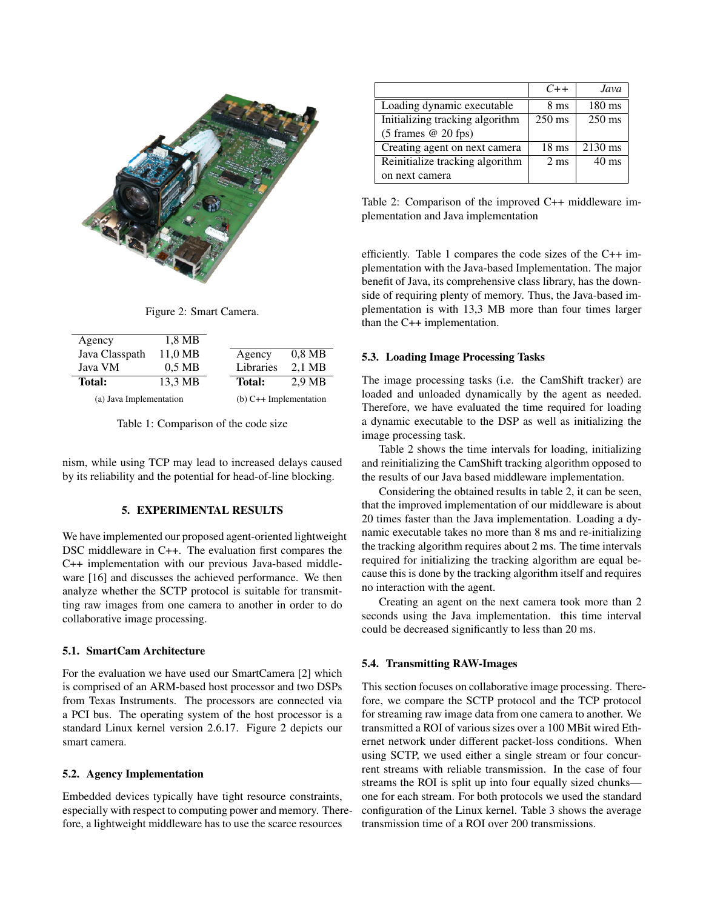

Figure 2: Smart Camera.

| Agency                  | 1.8 MB   |               |                          |  |
|-------------------------|----------|---------------|--------------------------|--|
| Java Classpath          | 11,0 MB  | Agency        | $0.8$ MB                 |  |
| Java VM                 | $0.5$ MB | Libraries     | $2.1 \text{ MB}$         |  |
| Total:                  | 13.3 MB  | <b>Total:</b> | $2.9$ MB                 |  |
| (a) Java Implementation |          |               | $(b)$ C++ Implementation |  |

Table 1: Comparison of the code size

nism, while using TCP may lead to increased delays caused by its reliability and the potential for head-of-line blocking.

## 5. EXPERIMENTAL RESULTS

We have implemented our proposed agent-oriented lightweight DSC middleware in C++. The evaluation first compares the C++ implementation with our previous Java-based middleware [16] and discusses the achieved performance. We then analyze whether the SCTP protocol is suitable for transmitting raw images from one camera to another in order to do collaborative image processing.

## 5.1. SmartCam Architecture

For the evaluation we have used our SmartCamera [2] which is comprised of an ARM-based host processor and two DSPs from Texas Instruments. The processors are connected via a PCI bus. The operating system of the host processor is a standard Linux kernel version 2.6.17. Figure 2 depicts our smart camera.

## 5.2. Agency Implementation

Embedded devices typically have tight resource constraints, especially with respect to computing power and memory. Therefore, a lightweight middleware has to use the scarce resources

|                                        | $C++$            | Java              |
|----------------------------------------|------------------|-------------------|
| Loading dynamic executable             | 8 ms             | $180 \text{ ms}$  |
| Initializing tracking algorithm        | $250 \text{ ms}$ | $250 \text{ ms}$  |
| $(5 \text{ frames} \ @ 20 \text{fps})$ |                  |                   |
| Creating agent on next camera          | $18 \text{ ms}$  | $2130 \text{ ms}$ |
| Reinitialize tracking algorithm        | $2 \text{ ms}$   | $40 \text{ ms}$   |
| on next camera                         |                  |                   |

Table 2: Comparison of the improved C++ middleware implementation and Java implementation

efficiently. Table 1 compares the code sizes of the C++ implementation with the Java-based Implementation. The major benefit of Java, its comprehensive class library, has the downside of requiring plenty of memory. Thus, the Java-based implementation is with 13,3 MB more than four times larger than the C++ implementation.

## 5.3. Loading Image Processing Tasks

The image processing tasks (i.e. the CamShift tracker) are loaded and unloaded dynamically by the agent as needed. Therefore, we have evaluated the time required for loading a dynamic executable to the DSP as well as initializing the image processing task.

Table 2 shows the time intervals for loading, initializing and reinitializing the CamShift tracking algorithm opposed to the results of our Java based middleware implementation.

Considering the obtained results in table 2, it can be seen, that the improved implementation of our middleware is about 20 times faster than the Java implementation. Loading a dynamic executable takes no more than 8 ms and re-initializing the tracking algorithm requires about 2 ms. The time intervals required for initializing the tracking algorithm are equal because this is done by the tracking algorithm itself and requires no interaction with the agent.

Creating an agent on the next camera took more than 2 seconds using the Java implementation. this time interval could be decreased significantly to less than 20 ms.

## 5.4. Transmitting RAW-Images

This section focuses on collaborative image processing. Therefore, we compare the SCTP protocol and the TCP protocol for streaming raw image data from one camera to another. We transmitted a ROI of various sizes over a 100 MBit wired Ethernet network under different packet-loss conditions. When using SCTP, we used either a single stream or four concurrent streams with reliable transmission. In the case of four streams the ROI is split up into four equally sized chunks one for each stream. For both protocols we used the standard configuration of the Linux kernel. Table 3 shows the average transmission time of a ROI over 200 transmissions.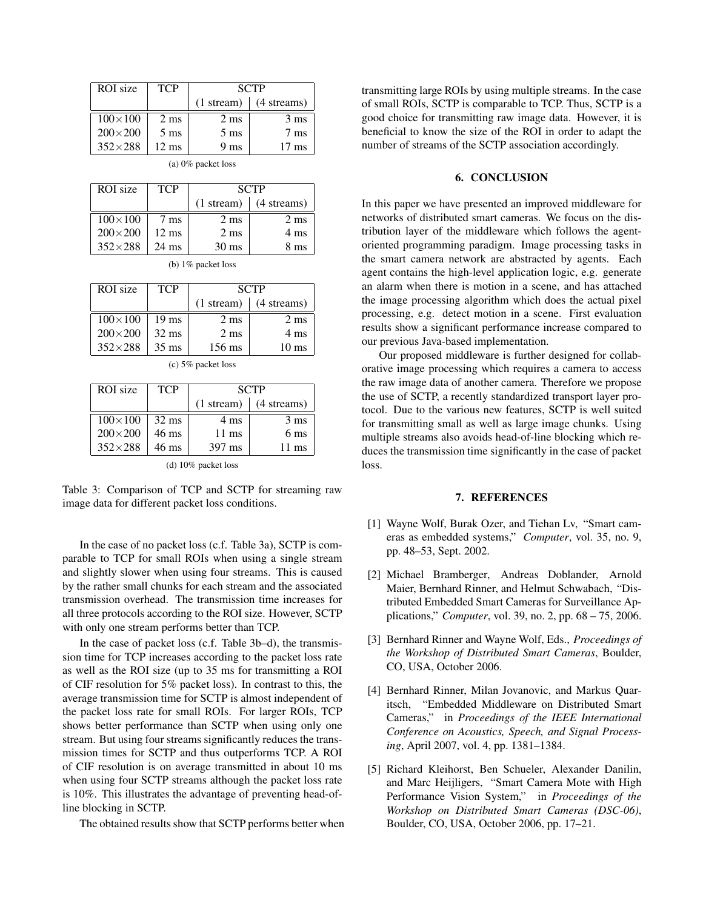| <b>ROI</b> size       | <b>TCP</b>      | <b>SCTP</b>          |                 |  |  |  |
|-----------------------|-----------------|----------------------|-----------------|--|--|--|
|                       |                 | $(1$ stream $)$      | (4 streams)     |  |  |  |
| $100\times100$        | 2 <sub>ms</sub> | $2 \text{ ms}$       | $3 \text{ ms}$  |  |  |  |
| $200\times200$        | 5 ms            | $5 \text{ ms}$       | $7 \text{ ms}$  |  |  |  |
| $352\times288$        | $12 \text{ ms}$ | 9 ms                 | $17 \text{ ms}$ |  |  |  |
| (a) $0\%$ packet loss |                 |                      |                 |  |  |  |
| ROI size              | <b>TCP</b>      | <b>SCTP</b>          |                 |  |  |  |
|                       |                 | $(1$ stream)         | (4 streams)     |  |  |  |
| $100\times100$        | $7 \text{ ms}$  | 2 <sub>ms</sub>      | 2 <sub>ms</sub> |  |  |  |
| $200\times200$        | $12 \text{ ms}$ | $2 \text{ ms}$       | 4 ms            |  |  |  |
| $352\times288$        | $24 \text{ ms}$ | $30 \text{ ms}$      | 8 ms            |  |  |  |
| (b) $1\%$ packet loss |                 |                      |                 |  |  |  |
| ROI size              | <b>TCP</b>      | <b>SCTP</b>          |                 |  |  |  |
|                       |                 | $(1$ stream)         | (4 streams)     |  |  |  |
|                       |                 |                      |                 |  |  |  |
| $100\times100$        | $19 \text{ ms}$ | 2 ms                 | 2 <sub>ms</sub> |  |  |  |
| $200\times200$        | $32$ ms         | $2 \text{ ms}$       | 4 ms            |  |  |  |
| $352\times288$        | $35 \text{ ms}$ | 156 ms               | $10 \text{ ms}$ |  |  |  |
|                       |                 | $(c)$ 5% packet loss |                 |  |  |  |
| ROI size              | <b>TCP</b>      |                      | <b>SCTP</b>     |  |  |  |
|                       |                 | $(1$ stream)         | (4 streams)     |  |  |  |
| $100\times100$        | 32 ms           | 4 ms                 | 3 ms            |  |  |  |
| $200\times200$        | $46 \text{ ms}$ | $11 \text{ ms}$      | 6 ms            |  |  |  |

(d) 10% packet loss

Table 3: Comparison of TCP and SCTP for streaming raw image data for different packet loss conditions.

In the case of no packet loss (c.f. Table 3a), SCTP is comparable to TCP for small ROIs when using a single stream and slightly slower when using four streams. This is caused by the rather small chunks for each stream and the associated transmission overhead. The transmission time increases for all three protocols according to the ROI size. However, SCTP with only one stream performs better than TCP.

In the case of packet loss (c.f. Table 3b–d), the transmission time for TCP increases according to the packet loss rate as well as the ROI size (up to 35 ms for transmitting a ROI of CIF resolution for 5% packet loss). In contrast to this, the average transmission time for SCTP is almost independent of the packet loss rate for small ROIs. For larger ROIs, TCP shows better performance than SCTP when using only one stream. But using four streams significantly reduces the transmission times for SCTP and thus outperforms TCP. A ROI of CIF resolution is on average transmitted in about 10 ms when using four SCTP streams although the packet loss rate is 10%. This illustrates the advantage of preventing head-ofline blocking in SCTP.

The obtained results show that SCTP performs better when

transmitting large ROIs by using multiple streams. In the case of small ROIs, SCTP is comparable to TCP. Thus, SCTP is a good choice for transmitting raw image data. However, it is beneficial to know the size of the ROI in order to adapt the number of streams of the SCTP association accordingly.

### 6. CONCLUSION

In this paper we have presented an improved middleware for networks of distributed smart cameras. We focus on the distribution layer of the middleware which follows the agentoriented programming paradigm. Image processing tasks in the smart camera network are abstracted by agents. Each agent contains the high-level application logic, e.g. generate an alarm when there is motion in a scene, and has attached the image processing algorithm which does the actual pixel processing, e.g. detect motion in a scene. First evaluation results show a significant performance increase compared to our previous Java-based implementation.

Our proposed middleware is further designed for collaborative image processing which requires a camera to access the raw image data of another camera. Therefore we propose the use of SCTP, a recently standardized transport layer protocol. Due to the various new features, SCTP is well suited for transmitting small as well as large image chunks. Using multiple streams also avoids head-of-line blocking which reduces the transmission time significantly in the case of packet loss.

#### 7. REFERENCES

- [1] Wayne Wolf, Burak Ozer, and Tiehan Lv, "Smart cameras as embedded systems," *Computer*, vol. 35, no. 9, pp. 48–53, Sept. 2002.
- [2] Michael Bramberger, Andreas Doblander, Arnold Maier, Bernhard Rinner, and Helmut Schwabach, "Distributed Embedded Smart Cameras for Surveillance Applications," *Computer*, vol. 39, no. 2, pp. 68 – 75, 2006.
- [3] Bernhard Rinner and Wayne Wolf, Eds., *Proceedings of the Workshop of Distributed Smart Cameras*, Boulder, CO, USA, October 2006.
- [4] Bernhard Rinner, Milan Jovanovic, and Markus Quaritsch, "Embedded Middleware on Distributed Smart Cameras," in *Proceedings of the IEEE International Conference on Acoustics, Speech, and Signal Processing*, April 2007, vol. 4, pp. 1381–1384.
- [5] Richard Kleihorst, Ben Schueler, Alexander Danilin, and Marc Heijligers, "Smart Camera Mote with High Performance Vision System," in *Proceedings of the Workshop on Distributed Smart Cameras (DSC-06)*, Boulder, CO, USA, October 2006, pp. 17–21.